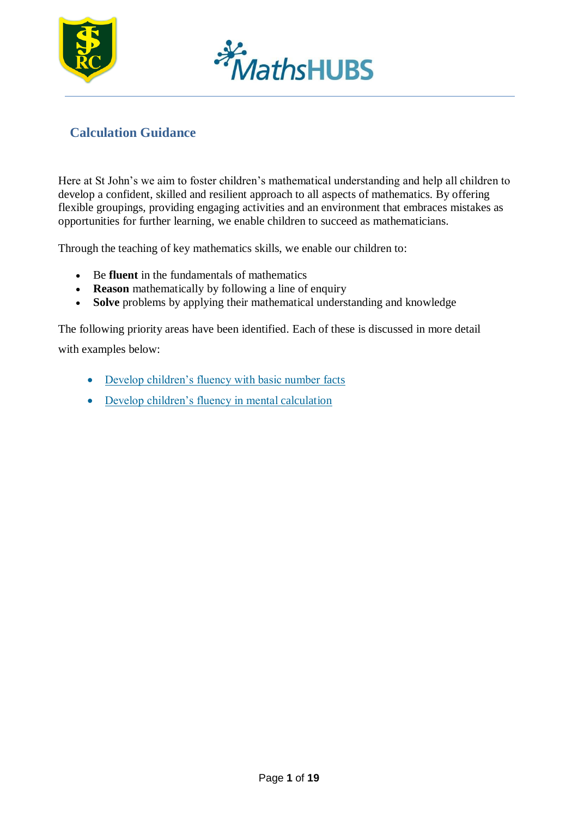



#### **Calculation Guidance**

Here at St John's we aim to foster children's mathematical understanding and help all children to develop a confident, skilled and resilient approach to all aspects of mathematics. By offering flexible groupings, providing engaging activities and an environment that embraces mistakes as opportunities for further learning, we enable children to succeed as mathematicians.

Through the teaching of key mathematics skills, we enable our children to:

- Be **fluent** in the fundamentals of mathematics
- **Reason** mathematically by following a line of enquiry
- **Solve** problems by applying their mathematical understanding and knowledge

The following priority areas have been identified. Each of these is discussed in more detail with examples below:

- [Develop children's fluency with basic number](#page-1-0) facts
- [Develop children's fluency in mental](#page-2-0) calculation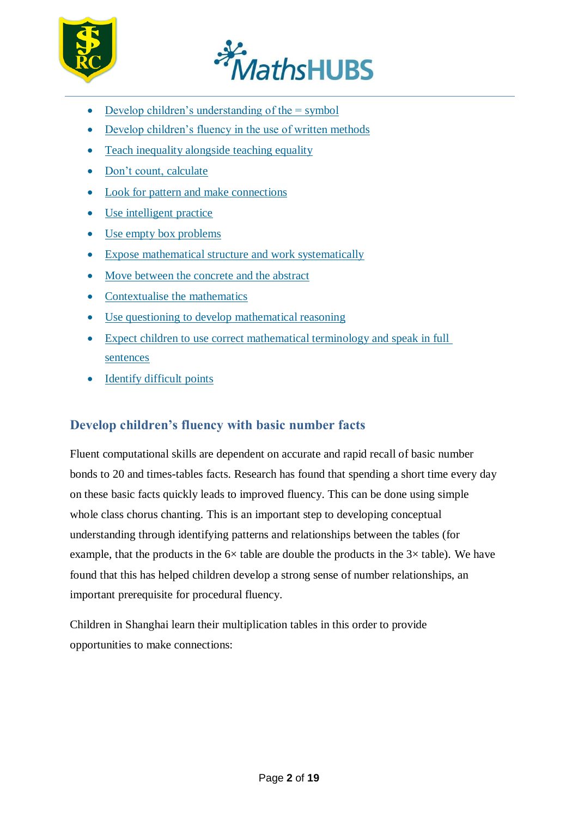



- Develop children's understanding of the  $=$  symbol
- [Develop children's fluency in the use of written](#page-2-1) methods
- [Teach inequality alongside teaching](#page-4-0) equality
- [Don't count,](#page-5-0) calculate
- [Look for pattern and make](#page-6-0) connections
- [Use intelligent](#page-6-1) practice
- [Use empty box](#page-7-0) problems
- [Expose mathematical structure and work](#page-8-0) systematically
- [Move between the concrete and the](#page-10-0) abstract
- [Contextualise the](#page-10-0) mathematics
- [Use questioning to develop mathematical](#page-13-0) reasoning
- [Expect children to use correct mathematical terminology and speak in full](#page-16-0) [sentences](#page-16-0)
- [Identify difficult](#page-18-0) points

#### <span id="page-1-0"></span>**Develop children's fluency with basic number facts**

Fluent computational skills are dependent on accurate and rapid recall of basic number bonds to 20 and times-tables facts. Research has found that spending a short time every day on these basic facts quickly leads to improved fluency. This can be done using simple whole class chorus chanting. This is an important step to developing conceptual understanding through identifying patterns and relationships between the tables (for example, that the products in the  $6\times$  table are double the products in the  $3\times$  table). We have found that this has helped children develop a strong sense of number relationships, an important prerequisite for procedural fluency.

Children in Shanghai learn their multiplication tables in this order to provide opportunities to make connections: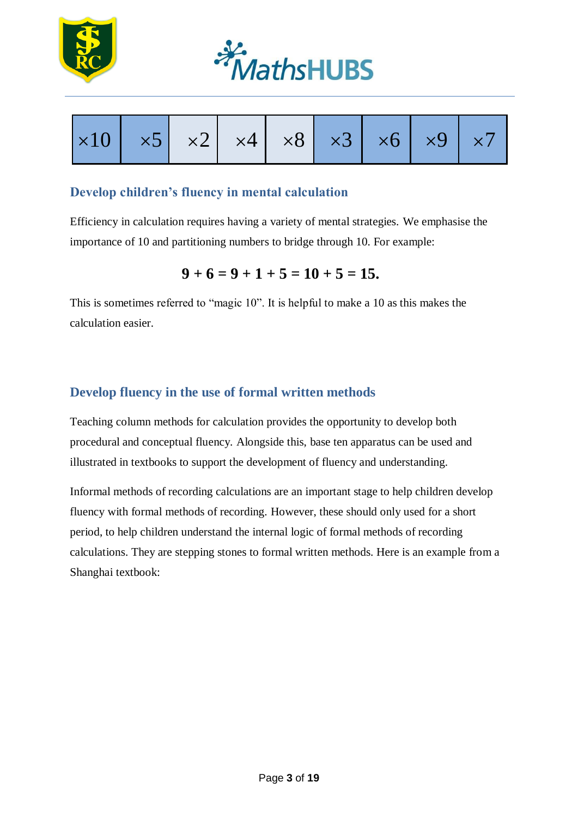





#### <span id="page-2-0"></span>**Develop children's fluency in mental calculation**

Efficiency in calculation requires having a variety of mental strategies. We emphasise the importance of 10 and partitioning numbers to bridge through 10. For example:

$$
9+6=9+1+5=10+5=15.
$$

This is sometimes referred to "magic 10". It is helpful to make a 10 as this makes the calculation easier.

#### <span id="page-2-1"></span>**Develop fluency in the use of formal written methods**

Teaching column methods for calculation provides the opportunity to develop both procedural and conceptual fluency. Alongside this, base ten apparatus can be used and illustrated in textbooks to support the development of fluency and understanding.

Informal methods of recording calculations are an important stage to help children develop fluency with formal methods of recording. However, these should only used for a short period, to help children understand the internal logic of formal methods of recording calculations. They are stepping stones to formal written methods. Here is an example from a Shanghai textbook: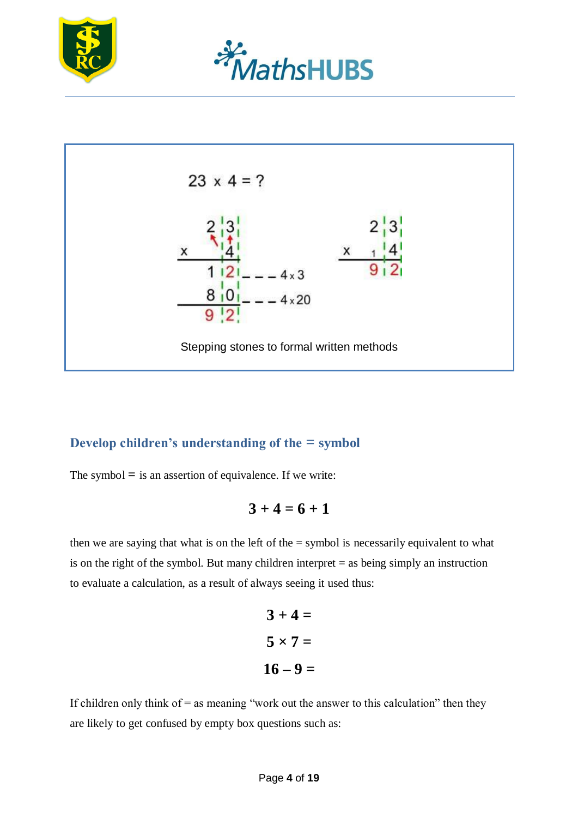





#### <span id="page-3-0"></span>**Develop children's understanding of the = symbol**

The symbol **=** is an assertion of equivalence. If we write:

$$
3+4=6+1
$$

then we are saying that what is on the left of the = symbol is necessarily equivalent to what is on the right of the symbol. But many children interpret  $=$  as being simply an instruction to evaluate a calculation, as a result of always seeing it used thus:

$$
3 + 4 =
$$
  

$$
5 \times 7 =
$$
  

$$
16 - 9 =
$$

If children only think of  $=$  as meaning "work out the answer to this calculation" then they are likely to get confused by empty box questions such as: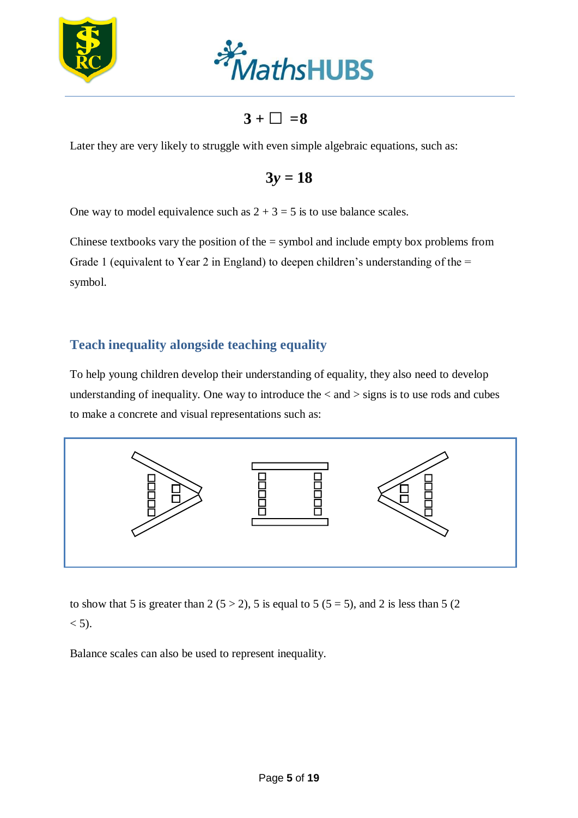



 $3 + \Box = 8$ 

Later they are very likely to struggle with even simple algebraic equations, such as:

 $3y = 18$ 

One way to model equivalence such as  $2 + 3 = 5$  is to use balance scales.

Chinese textbooks vary the position of the  $=$  symbol and include empty box problems from Grade 1 (equivalent to Year 2 in England) to deepen children's understanding of the  $=$ symbol.

#### <span id="page-4-0"></span>**Teach inequality alongside teaching equality**

To help young children develop their understanding of equality, they also need to develop understanding of inequality. One way to introduce the  $\langle$  and  $\rangle$  signs is to use rods and cubes to make a concrete and visual representations such as:



to show that 5 is greater than 2 ( $5 > 2$ ), 5 is equal to 5 ( $5 = 5$ ), and 2 is less than 5 (2)  $< 5$ ).

Balance scales can also be used to represent inequality.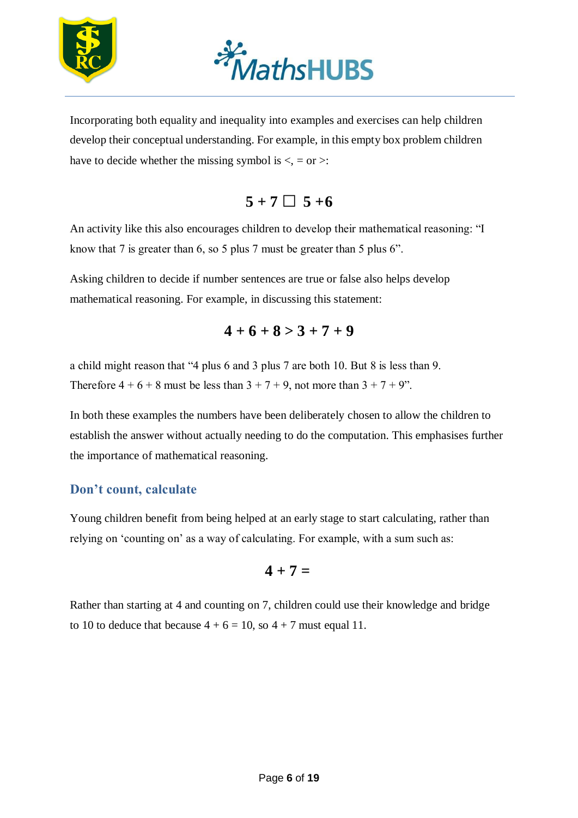



Incorporating both equality and inequality into examples and exercises can help children develop their conceptual understanding. For example, in this empty box problem children have to decide whether the missing symbol is  $\langle \cdot, = \text{or} \rangle$ :

# $5 + 7 \square$   $5 + 6$

An activity like this also encourages children to develop their mathematical reasoning: "I know that 7 is greater than 6, so 5 plus 7 must be greater than 5 plus 6".

Asking children to decide if number sentences are true or false also helps develop mathematical reasoning. For example, in discussing this statement:

 $4+6+8>3+7+9$ 

a child might reason that "4 plus 6 and 3 plus 7 are both 10. But 8 is less than 9. Therefore  $4 + 6 + 8$  must be less than  $3 + 7 + 9$ , not more than  $3 + 7 + 9$ ".

In both these examples the numbers have been deliberately chosen to allow the children to establish the answer without actually needing to do the computation. This emphasises further the importance of mathematical reasoning.

#### <span id="page-5-0"></span>**Don't count, calculate**

Young children benefit from being helped at an early stage to start calculating, rather than relying on 'counting on' as a way of calculating. For example, with a sum such as:

$$
4+7=
$$

Rather than starting at 4 and counting on 7, children could use their knowledge and bridge to 10 to deduce that because  $4 + 6 = 10$ , so  $4 + 7$  must equal 11.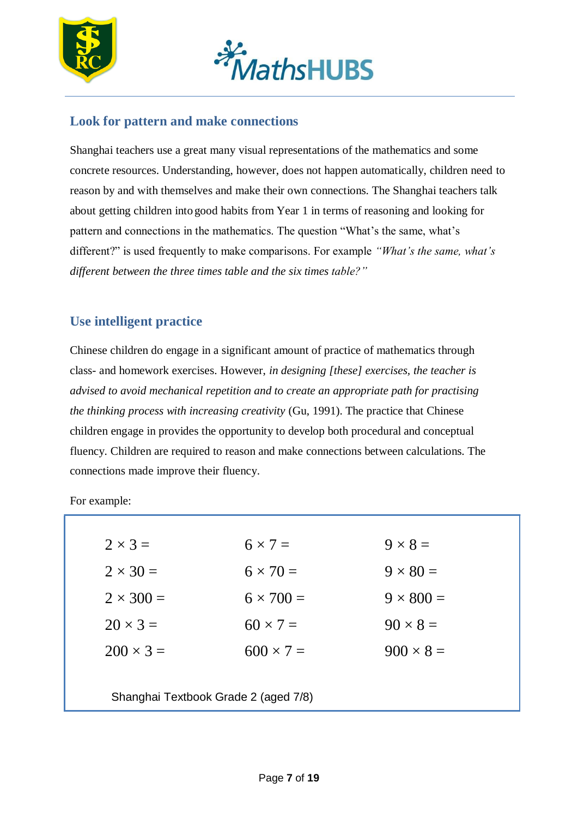



#### <span id="page-6-0"></span>**Look for pattern and make connections**

Shanghai teachers use a great many visual representations of the mathematics and some concrete resources. Understanding, however, does not happen automatically, children need to reason by and with themselves and make their own connections. The Shanghai teachers talk about getting children into good habits from Year 1 in terms of reasoning and looking for pattern and connections in the mathematics. The question "What's the same, what's different?" is used frequently to make comparisons. For example *"What's the same, what's different between the three times table and the six times table?"*

#### <span id="page-6-1"></span>**Use intelligent practice**

Chinese children do engage in a significant amount of practice of mathematics through class- and homework exercises. However, *in designing [these] exercises, the teacher is advised to avoid mechanical repetition and to create an appropriate path for practising the thinking process with increasing creativity* (Gu, 1991). The practice that Chinese children engage in provides the opportunity to develop both procedural and conceptual fluency. Children are required to reason and make connections between calculations. The connections made improve their fluency.

For example:

| $2 \times 3 =$   | $6 \times 7 =$                       | $9 \times 8 =$   |
|------------------|--------------------------------------|------------------|
| $2 \times 30 =$  | $6 \times 70 =$                      | $9 \times 80 =$  |
| $2 \times 300 =$ | $6 \times 700 =$                     | $9 \times 800 =$ |
| $20 \times 3 =$  | $60 \times 7 =$                      | $90 \times 8 =$  |
| $200 \times 3 =$ | $600 \times 7 =$                     | $900 \times 8 =$ |
|                  |                                      |                  |
|                  | Shanghai Textbook Grade 2 (aged 7/8) |                  |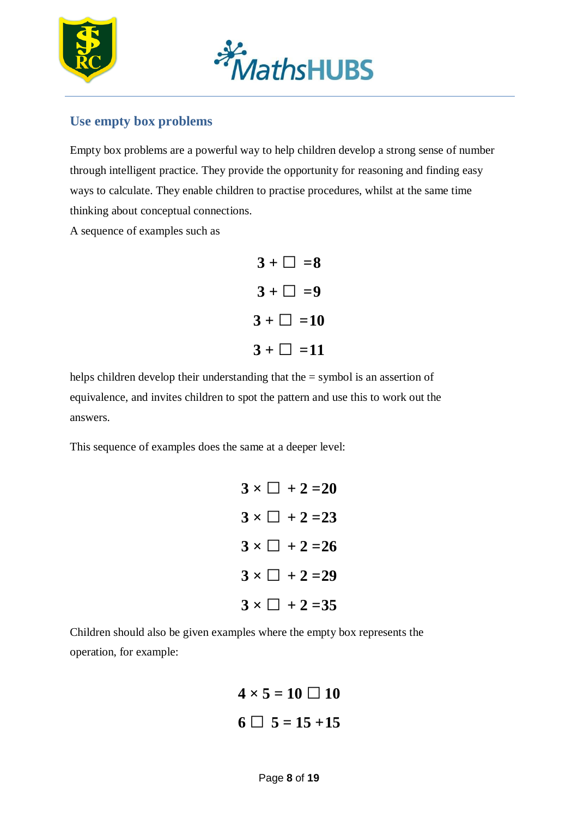



### <span id="page-7-0"></span>**Use empty box problems**

Empty box problems are a powerful way to help children develop a strong sense of number through intelligent practice. They provide the opportunity for reasoning and finding easy ways to calculate. They enable children to practise procedures, whilst at the same time thinking about conceptual connections.

A sequence of examples such as

$$
3 + \square = 8
$$
  

$$
3 + \square = 9
$$
  

$$
3 + \square = 10
$$
  

$$
3 + \square = 11
$$

helps children develop their understanding that the = symbol is an assertion of equivalence, and invites children to spot the pattern and use this to work out the answers.

This sequence of examples does the same at a deeper level:

$$
3 \times \square + 2 = 20
$$
  
\n
$$
3 \times \square + 2 = 23
$$
  
\n
$$
3 \times \square + 2 = 26
$$
  
\n
$$
3 \times \square + 2 = 29
$$
  
\n
$$
3 \times \square + 2 = 35
$$

Children should also be given examples where the empty box represents the operation, for example:

$$
4 \times 5 = 10 \square 10
$$
  

$$
6 \square 5 = 15 + 15
$$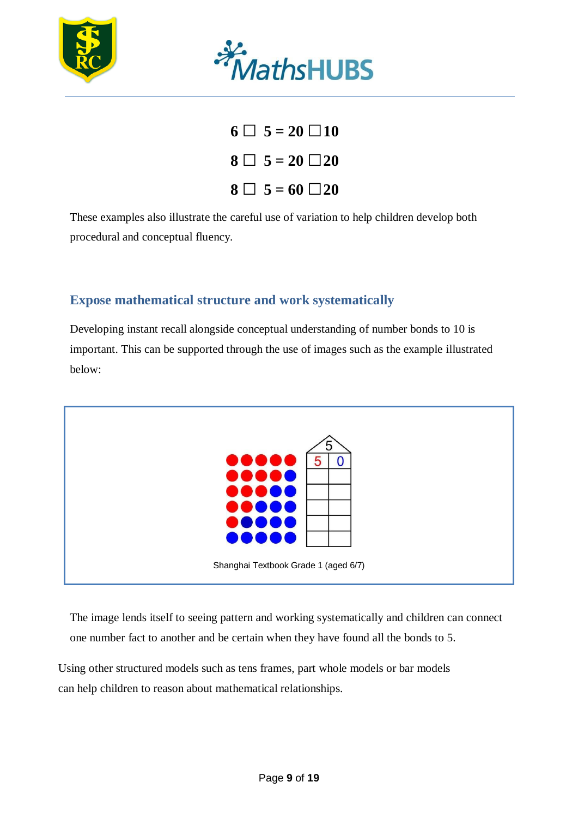



 $6 \square 5 = 20 \square 10$  $8 \square 5 = 20 \square 20$ **8** □ **5** = **60** □ **20** 

These examples also illustrate the careful use of variation to help children develop both procedural and conceptual fluency.

#### <span id="page-8-0"></span>**Expose mathematical structure and work systematically**

Developing instant recall alongside conceptual understanding of number bonds to 10 is important. This can be supported through the use of images such as the example illustrated below:



The image lends itself to seeing pattern and working systematically and children can connect one number fact to another and be certain when they have found all the bonds to 5.

Using other structured models such as tens frames, part whole models or bar models can help children to reason about mathematical relationships.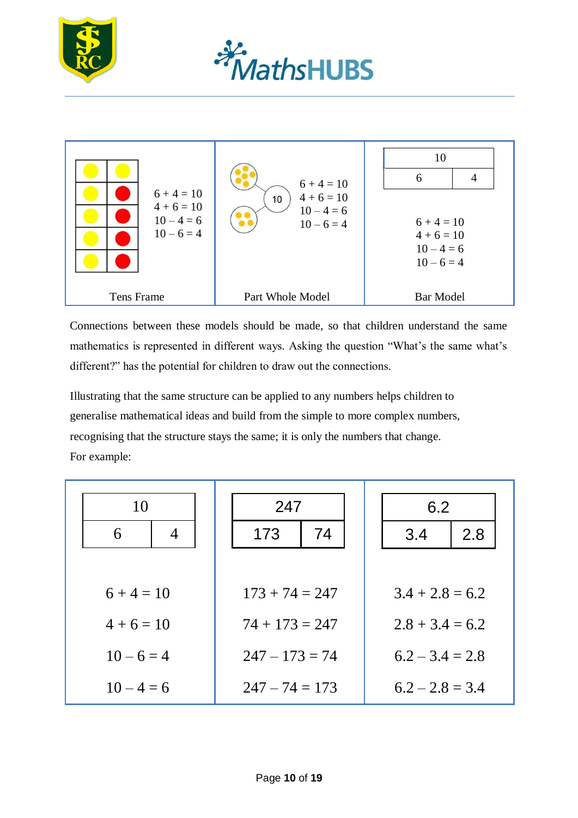





Connections between these models should be made, so that children understand the same mathematics is represented in different ways. Asking the question "What's the same what's different?" has the potential for children to draw out the connections.

Illustrating that the same structure can be applied to any numbers helps children to generalise mathematical ideas and build from the simple to more complex numbers, recognising that the structure stays the same; it is only the numbers that change. For example:

| 10<br>6<br>4 | 247<br>74<br>173 | 6.2<br>2.8<br>3.4 |
|--------------|------------------|-------------------|
| $6 + 4 = 10$ | $173 + 74 = 247$ | $3.4 + 2.8 = 6.2$ |
| $4+6=10$     | $74 + 173 = 247$ | $2.8 + 3.4 = 6.2$ |
| $10-6=4$     | $247 - 173 = 74$ | $6.2 - 3.4 = 2.8$ |
| $10 - 4 = 6$ | $247 - 74 = 173$ | $6.2 - 2.8 = 3.4$ |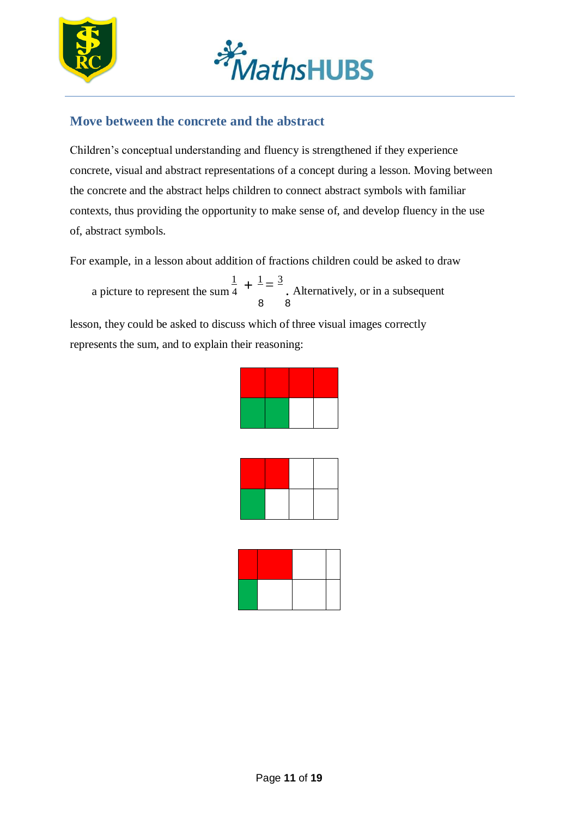



### <span id="page-10-0"></span>**Move between the concrete and the abstract**

Children's conceptual understanding and fluency is strengthened if they experience concrete, visual and abstract representations of a concept during a lesson. Moving between the concrete and the abstract helps children to connect abstract symbols with familiar contexts, thus providing the opportunity to make sense of, and develop fluency in the use of, abstract symbols.

For example, in a lesson about addition of fractions children could be asked to draw

8 8 1 a picture to represent the sum 4  $\frac{1}{2} = \frac{3}{2}$  $+$  $\frac{1}{2}$   $=$   $\frac{3}{2}$ . Alternatively, or in a subsequent

lesson, they could be asked to discuss which of three visual images correctly represents the sum, and to explain their reasoning:

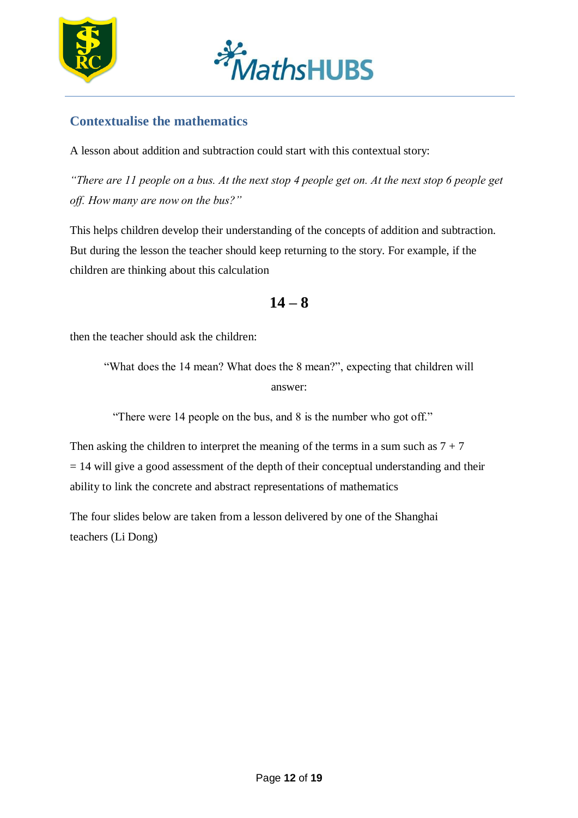



### **Contextualise the mathematics**

A lesson about addition and subtraction could start with this contextual story:

*"There are 11 people on a bus. At the next stop 4 people get on. At the next stop 6 people get off. How many are now on the bus?"*

This helps children develop their understanding of the concepts of addition and subtraction. But during the lesson the teacher should keep returning to the story. For example, if the children are thinking about this calculation

**14 – 8**

then the teacher should ask the children:

"What does the 14 mean? What does the 8 mean?", expecting that children will answer:

"There were 14 people on the bus, and 8 is the number who got off."

Then asking the children to interpret the meaning of the terms in a sum such as  $7 + 7$  $= 14$  will give a good assessment of the depth of their conceptual understanding and their ability to link the concrete and abstract representations of mathematics

The four slides below are taken from a lesson delivered by one of the Shanghai teachers (Li Dong)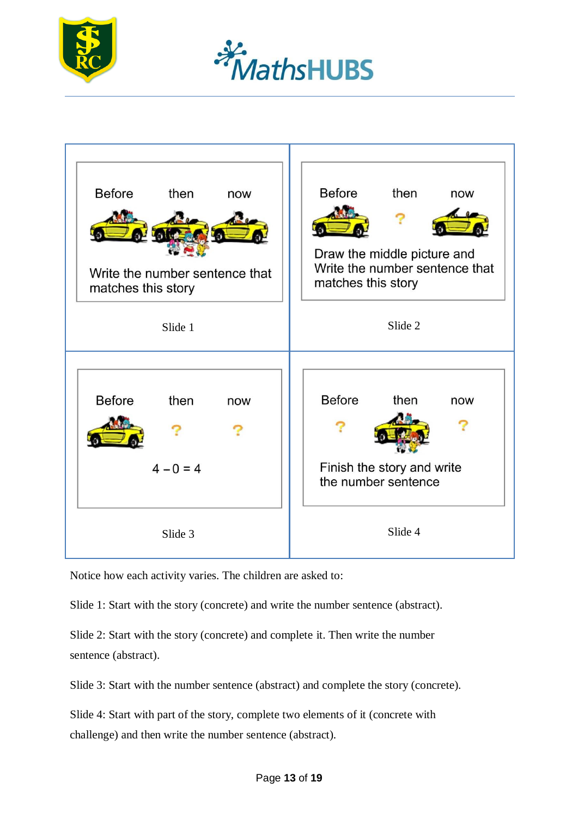





Notice how each activity varies. The children are asked to:

Slide 1: Start with the story (concrete) and write the number sentence (abstract).

Slide 2: Start with the story (concrete) and complete it. Then write the number sentence (abstract).

Slide 3: Start with the number sentence (abstract) and complete the story (concrete).

Slide 4: Start with part of the story, complete two elements of it (concrete with challenge) and then write the number sentence (abstract).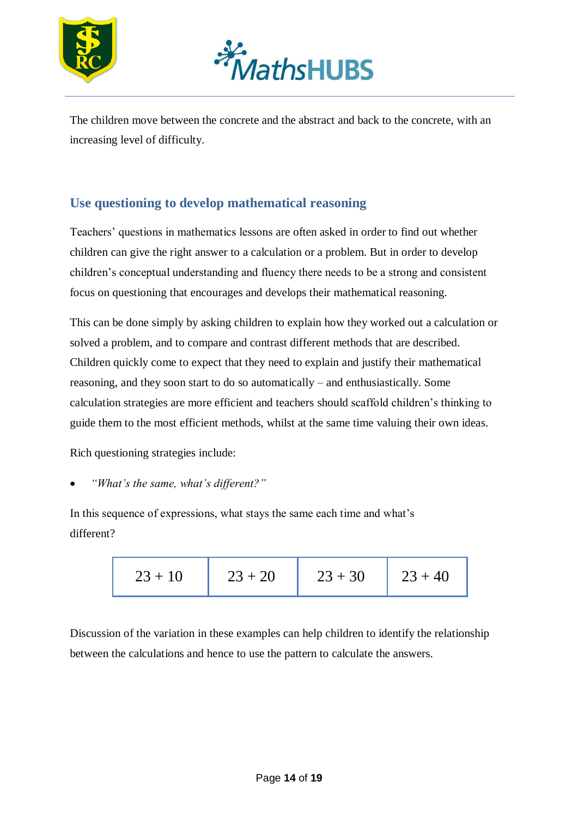



The children move between the concrete and the abstract and back to the concrete, with an increasing level of difficulty.

#### <span id="page-13-0"></span>**Use questioning to develop mathematical reasoning**

Teachers' questions in mathematics lessons are often asked in order to find out whether children can give the right answer to a calculation or a problem. But in order to develop children's conceptual understanding and fluency there needs to be a strong and consistent focus on questioning that encourages and develops their mathematical reasoning.

This can be done simply by asking children to explain how they worked out a calculation or solved a problem, and to compare and contrast different methods that are described. Children quickly come to expect that they need to explain and justify their mathematical reasoning, and they soon start to do so automatically – and enthusiastically. Some calculation strategies are more efficient and teachers should scaffold children's thinking to guide them to the most efficient methods, whilst at the same time valuing their own ideas.

Rich questioning strategies include:

*"What's the same, what's different?"*

In this sequence of expressions, what stays the same each time and what's different?

$$
23 + 10 \t\t 23 + 20 \t 23 + 30 \t 23 + 40
$$

Discussion of the variation in these examples can help children to identify the relationship between the calculations and hence to use the pattern to calculate the answers.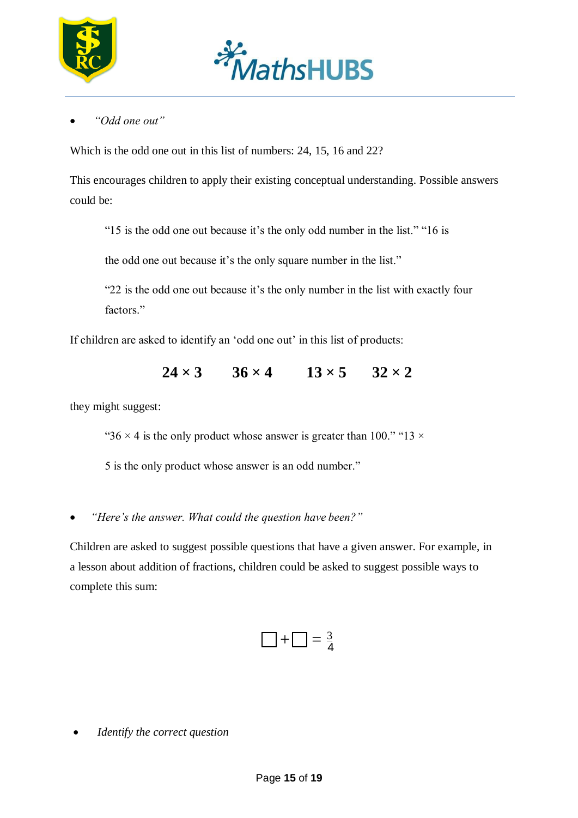



*"Odd one out"*

Which is the odd one out in this list of numbers: 24, 15, 16 and 22?

This encourages children to apply their existing conceptual understanding. Possible answers could be:

"15 is the odd one out because it's the only odd number in the list." "16 is

the odd one out because it's the only square number in the list."

"22 is the odd one out because it's the only number in the list with exactly four factors."

If children are asked to identify an 'odd one out' in this list of products:

 $24 \times 3$   $36 \times 4$   $13 \times 5$   $32 \times 2$ 

they might suggest:

"36  $\times$  4 is the only product whose answer is greater than 100." "13  $\times$ 

5 is the only product whose answer is an odd number."

*"Here's the answer. What could the question have been?"*

Children are asked to suggest possible questions that have a given answer. For example, in a lesson about addition of fractions, children could be asked to suggest possible ways to complete this sum:

$$
\Box + \Box = \frac{3}{4}
$$

*Identify the correct question*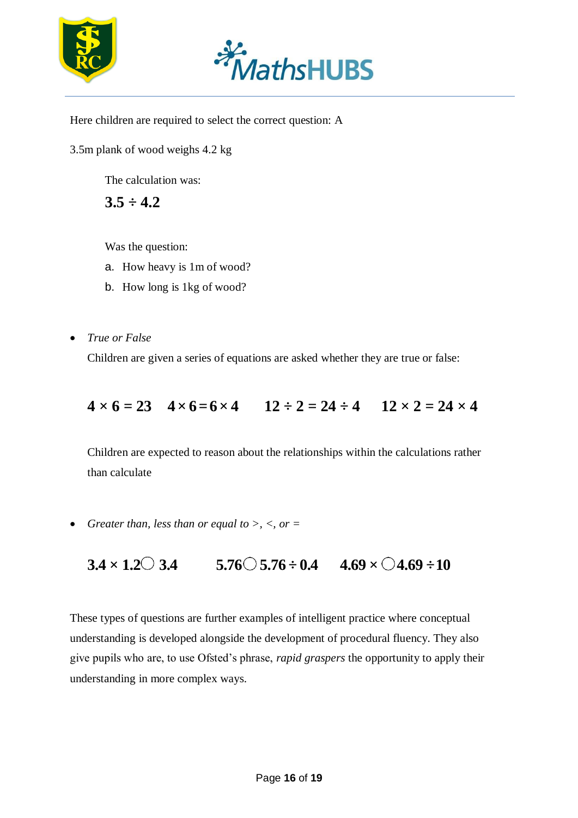



Here children are required to select the correct question: A

3.5m plank of wood weighs 4.2 kg

The calculation was:

**3.5 ÷ 4.2**

Was the question:

- a. How heavy is 1m of wood?
- b. How long is 1kg of wood?
- *True or False*

Children are given a series of equations are asked whether they are true or false:

# $4 \times 6 = 23$   $4 \times 6 = 6 \times 4$   $12 \div 2 = 24 \div 4$   $12 \times 2 = 24 \times 4$

Children are expected to reason about the relationships within the calculations rather than calculate

• *Greater than, less than or equal to >, <, or =* 

$$
3.4 \times 1.2 \text{ } 3.4 \qquad 5.76 \text{ } 5.76 \div 0.4 \qquad 4.69 \times \text{ } 24.69 \div 10
$$

These types of questions are further examples of intelligent practice where conceptual understanding is developed alongside the development of procedural fluency. They also give pupils who are, to use Ofsted's phrase, *rapid graspers* the opportunity to apply their understanding in more complex ways.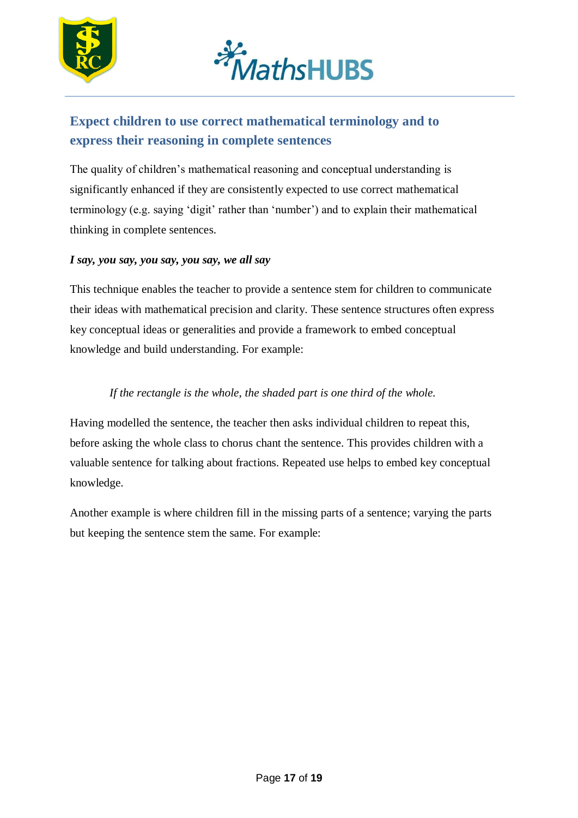



## <span id="page-16-0"></span>**Expect children to use correct mathematical terminology and to express their reasoning in complete sentences**

The quality of children's mathematical reasoning and conceptual understanding is significantly enhanced if they are consistently expected to use correct mathematical terminology (e.g. saying 'digit' rather than 'number') and to explain their mathematical thinking in complete sentences.

#### *I say, you say, you say, you say, we all say*

This technique enables the teacher to provide a sentence stem for children to communicate their ideas with mathematical precision and clarity. These sentence structures often express key conceptual ideas or generalities and provide a framework to embed conceptual knowledge and build understanding. For example:

#### *If the rectangle is the whole, the shaded part is one third of the whole.*

Having modelled the sentence, the teacher then asks individual children to repeat this, before asking the whole class to chorus chant the sentence. This provides children with a valuable sentence for talking about fractions. Repeated use helps to embed key conceptual knowledge.

Another example is where children fill in the missing parts of a sentence; varying the parts but keeping the sentence stem the same. For example: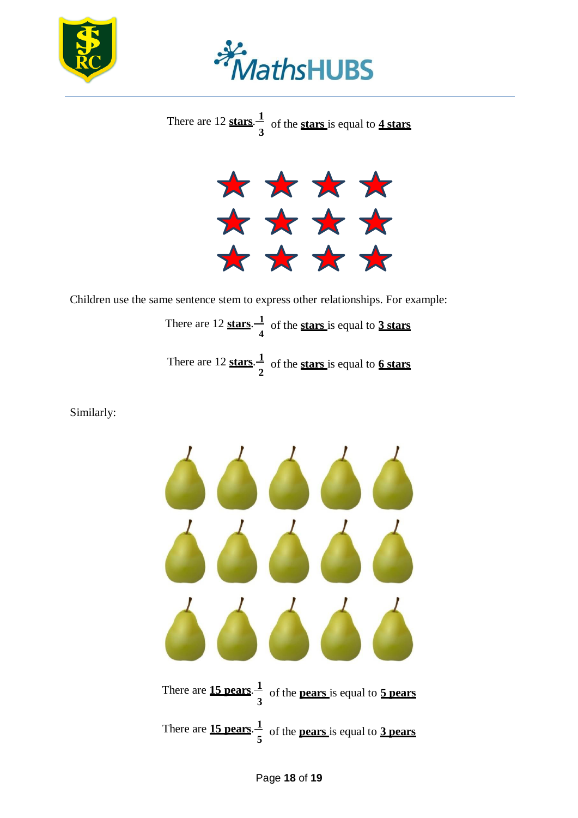



There are 12 **stars**.<sup>1</sup> **3** of the **stars** is equal to **4 stars**



Children use the same sentence stem to express other relationships. For example: There are 12 **stars**. **1 4** There are 12 **stars**. **1 2** of the **stars** is equal to **3 stars** of the **stars** is equal to **6 stars**

Similarly: